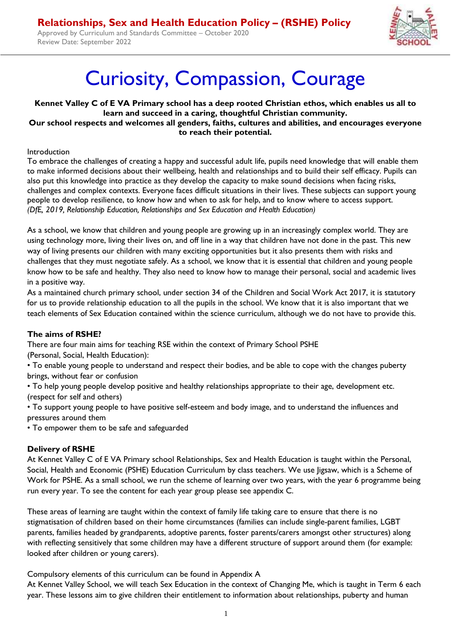Approved by Curriculum and Standards Committee – October 2020 Review Date: September 2022



# Curiosity, Compassion, Courage

**Kennet Valley C of E VA Primary school has a deep rooted Christian ethos, which enables us all to learn and succeed in a caring, thoughtful Christian community. Our school respects and welcomes all genders, faiths, cultures and abilities, and encourages everyone to reach their potential.** 

#### Introduction

To embrace the challenges of creating a happy and successful adult life, pupils need knowledge that will enable them to make informed decisions about their wellbeing, health and relationships and to build their self efficacy. Pupils can also put this knowledge into practice as they develop the capacity to make sound decisions when facing risks, challenges and complex contexts. Everyone faces difficult situations in their lives. These subjects can support young people to develop resilience, to know how and when to ask for help, and to know where to access support. *(DfE, 2019, Relationship Education, Relationships and Sex Education and Health Education)* 

As a school, we know that children and young people are growing up in an increasingly complex world. They are using technology more, living their lives on, and off line in a way that children have not done in the past. This new way of living presents our children with many exciting opportunities but it also presents them with risks and challenges that they must negotiate safely. As a school, we know that it is essential that children and young people know how to be safe and healthy. They also need to know how to manage their personal, social and academic lives in a positive way.

As a maintained church primary school, under section 34 of the Children and Social Work Act 2017, it is statutory for us to provide relationship education to all the pupils in the school. We know that it is also important that we teach elements of Sex Education contained within the science curriculum, although we do not have to provide this.

#### **The aims of RSHE?**

There are four main aims for teaching RSE within the context of Primary School PSHE (Personal, Social, Health Education):

• To enable young people to understand and respect their bodies, and be able to cope with the changes puberty brings, without fear or confusion

• To help young people develop positive and healthy relationships appropriate to their age, development etc. (respect for self and others)

• To support young people to have positive self-esteem and body image, and to understand the influences and pressures around them

• To empower them to be safe and safeguarded

#### **Delivery of RSHE**

At Kennet Valley C of E VA Primary school Relationships, Sex and Health Education is taught within the Personal, Social, Health and Economic (PSHE) Education Curriculum by class teachers. We use Jigsaw, which is a Scheme of Work for PSHE. As a small school, we run the scheme of learning over two years, with the year 6 programme being run every year. To see the content for each year group please see appendix C.

These areas of learning are taught within the context of family life taking care to ensure that there is no stigmatisation of children based on their home circumstances (families can include single-parent families, LGBT parents, families headed by grandparents, adoptive parents, foster parents/carers amongst other structures) along with reflecting sensitively that some children may have a different structure of support around them (for example: looked after children or young carers).

Compulsory elements of this curriculum can be found in Appendix A

At Kennet Valley School, we will teach Sex Education in the context of Changing Me, which is taught in Term 6 each year. These lessons aim to give children their entitlement to information about relationships, puberty and human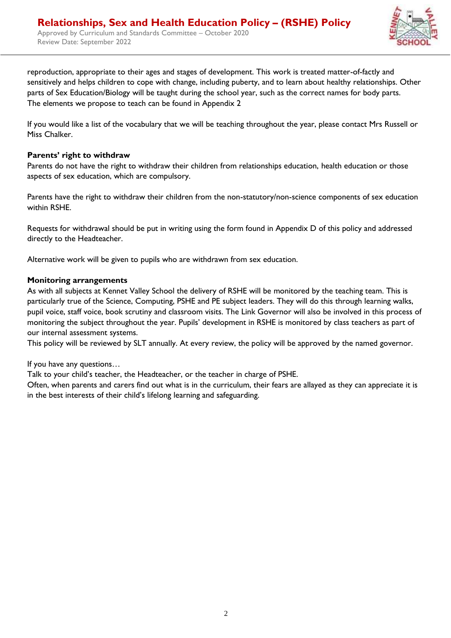

reproduction, appropriate to their ages and stages of development. This work is treated matter-of-factly and sensitively and helps children to cope with change, including puberty, and to learn about healthy relationships. Other parts of Sex Education/Biology will be taught during the school year, such as the correct names for body parts. The elements we propose to teach can be found in Appendix 2

If you would like a list of the vocabulary that we will be teaching throughout the year, please contact Mrs Russell or Miss Chalker.

#### **Parents' right to withdraw**

Parents do not have the right to withdraw their children from relationships education, health education or those aspects of sex education, which are compulsory.

Parents have the right to withdraw their children from the non-statutory/non-science components of sex education within RSHE.

Requests for withdrawal should be put in writing using the form found in Appendix D of this policy and addressed directly to the Headteacher.

Alternative work will be given to pupils who are withdrawn from sex education.

#### **Monitoring arrangements**

As with all subjects at Kennet Valley School the delivery of RSHE will be monitored by the teaching team. This is particularly true of the Science, Computing, PSHE and PE subject leaders. They will do this through learning walks, pupil voice, staff voice, book scrutiny and classroom visits. The Link Governor will also be involved in this process of monitoring the subject throughout the year. Pupils' development in RSHE is monitored by class teachers as part of our internal assessment systems.

This policy will be reviewed by SLT annually. At every review, the policy will be approved by the named governor.

If you have any questions…

Talk to your child's teacher, the Headteacher, or the teacher in charge of PSHE.

Often, when parents and carers find out what is in the curriculum, their fears are allayed as they can appreciate it is in the best interests of their child's lifelong learning and safeguarding.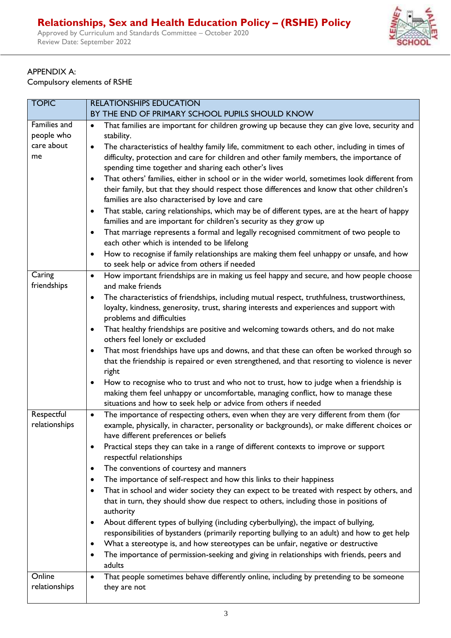Approved by Curriculum and Standards Committee – October 2020 Review Date: September 2022



### APPENDIX A:

Compulsory elements of RSHE

| <b>TOPIC</b>                                   | <b>RELATIONSHIPS EDUCATION</b>                                                                                                                                                                                                                                                                                                                                                                                                                                                                                                                                                                                                                                                                                                                                                                                                                                                                                                                                                                                                                                                                                                                               |  |  |  |
|------------------------------------------------|--------------------------------------------------------------------------------------------------------------------------------------------------------------------------------------------------------------------------------------------------------------------------------------------------------------------------------------------------------------------------------------------------------------------------------------------------------------------------------------------------------------------------------------------------------------------------------------------------------------------------------------------------------------------------------------------------------------------------------------------------------------------------------------------------------------------------------------------------------------------------------------------------------------------------------------------------------------------------------------------------------------------------------------------------------------------------------------------------------------------------------------------------------------|--|--|--|
|                                                | BY THE END OF PRIMARY SCHOOL PUPILS SHOULD KNOW                                                                                                                                                                                                                                                                                                                                                                                                                                                                                                                                                                                                                                                                                                                                                                                                                                                                                                                                                                                                                                                                                                              |  |  |  |
| Families and<br>people who<br>care about<br>me | That families are important for children growing up because they can give love, security and<br>$\bullet$<br>stability.<br>The characteristics of healthy family life, commitment to each other, including in times of<br>$\bullet$<br>difficulty, protection and care for children and other family members, the importance of<br>spending time together and sharing each other's lives<br>That others' families, either in school or in the wider world, sometimes look different from<br>$\bullet$<br>their family, but that they should respect those differences and know that other children's<br>families are also characterised by love and care<br>That stable, caring relationships, which may be of different types, are at the heart of happy<br>$\bullet$<br>families and are important for children's security as they grow up<br>That marriage represents a formal and legally recognised commitment of two people to<br>$\bullet$<br>each other which is intended to be lifelong<br>How to recognise if family relationships are making them feel unhappy or unsafe, and how<br>$\bullet$<br>to seek help or advice from others if needed    |  |  |  |
| Caring                                         | How important friendships are in making us feel happy and secure, and how people choose<br>$\bullet$                                                                                                                                                                                                                                                                                                                                                                                                                                                                                                                                                                                                                                                                                                                                                                                                                                                                                                                                                                                                                                                         |  |  |  |
| friendships                                    | and make friends<br>The characteristics of friendships, including mutual respect, truthfulness, trustworthiness,<br>$\bullet$<br>loyalty, kindness, generosity, trust, sharing interests and experiences and support with<br>problems and difficulties<br>That healthy friendships are positive and welcoming towards others, and do not make<br>$\bullet$<br>others feel lonely or excluded<br>That most friendships have ups and downs, and that these can often be worked through so<br>$\bullet$<br>that the friendship is repaired or even strengthened, and that resorting to violence is never<br>right<br>How to recognise who to trust and who not to trust, how to judge when a friendship is<br>٠                                                                                                                                                                                                                                                                                                                                                                                                                                                 |  |  |  |
|                                                | making them feel unhappy or uncomfortable, managing conflict, how to manage these                                                                                                                                                                                                                                                                                                                                                                                                                                                                                                                                                                                                                                                                                                                                                                                                                                                                                                                                                                                                                                                                            |  |  |  |
|                                                | situations and how to seek help or advice from others if needed                                                                                                                                                                                                                                                                                                                                                                                                                                                                                                                                                                                                                                                                                                                                                                                                                                                                                                                                                                                                                                                                                              |  |  |  |
| Respectful<br>relationships                    | The importance of respecting others, even when they are very different from them (for<br>$\bullet$<br>example, physically, in character, personality or backgrounds), or make different choices or<br>have different preferences or beliefs<br>Practical steps they can take in a range of different contexts to improve or support<br>$\bullet$<br>respectful relationships<br>The conventions of courtesy and manners<br>$\bullet$<br>The importance of self-respect and how this links to their happiness<br>٠<br>That in school and wider society they can expect to be treated with respect by others, and<br>$\bullet$<br>that in turn, they should show due respect to others, including those in positions of<br>authority<br>About different types of bullying (including cyberbullying), the impact of bullying,<br>$\bullet$<br>responsibilities of bystanders (primarily reporting bullying to an adult) and how to get help<br>What a stereotype is, and how stereotypes can be unfair, negative or destructive<br>$\bullet$<br>The importance of permission-seeking and giving in relationships with friends, peers and<br>$\bullet$<br>adults |  |  |  |
| Online                                         | That people sometimes behave differently online, including by pretending to be someone<br>$\bullet$                                                                                                                                                                                                                                                                                                                                                                                                                                                                                                                                                                                                                                                                                                                                                                                                                                                                                                                                                                                                                                                          |  |  |  |
| relationships                                  | they are not                                                                                                                                                                                                                                                                                                                                                                                                                                                                                                                                                                                                                                                                                                                                                                                                                                                                                                                                                                                                                                                                                                                                                 |  |  |  |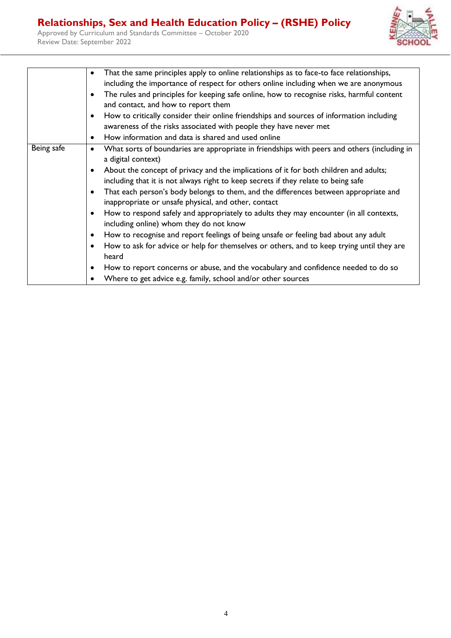Approved by Curriculum and Standards Committee – October 2020 Review Date: September 2022



|            | That the same principles apply to online relationships as to face-to face relationships,<br>including the importance of respect for others online including when we are anonymous<br>The rules and principles for keeping safe online, how to recognise risks, harmful content<br>and contact, and how to report them<br>How to critically consider their online friendships and sources of information including<br>awareness of the risks associated with people they have never met<br>How information and data is shared and used online                                                                                                                                                                                                                                                                                                                                                                                             |
|------------|------------------------------------------------------------------------------------------------------------------------------------------------------------------------------------------------------------------------------------------------------------------------------------------------------------------------------------------------------------------------------------------------------------------------------------------------------------------------------------------------------------------------------------------------------------------------------------------------------------------------------------------------------------------------------------------------------------------------------------------------------------------------------------------------------------------------------------------------------------------------------------------------------------------------------------------|
| Being safe | What sorts of boundaries are appropriate in friendships with peers and others (including in<br>a digital context)<br>About the concept of privacy and the implications of it for both children and adults;<br>including that it is not always right to keep secrets if they relate to being safe<br>That each person's body belongs to them, and the differences between appropriate and<br>inappropriate or unsafe physical, and other, contact<br>How to respond safely and appropriately to adults they may encounter (in all contexts,<br>including online) whom they do not know<br>How to recognise and report feelings of being unsafe or feeling bad about any adult<br>How to ask for advice or help for themselves or others, and to keep trying until they are<br>heard<br>How to report concerns or abuse, and the vocabulary and confidence needed to do so<br>Where to get advice e.g. family, school and/or other sources |
|            |                                                                                                                                                                                                                                                                                                                                                                                                                                                                                                                                                                                                                                                                                                                                                                                                                                                                                                                                          |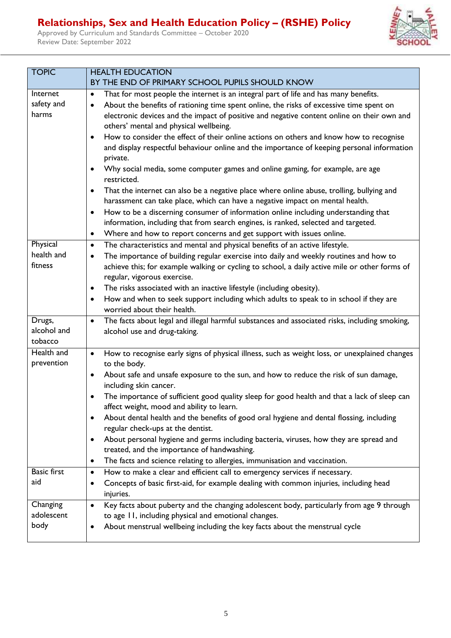Approved by Curriculum and Standards Committee – October 2020 Review Date: September 2022



| <b>TOPIC</b>                          | <b>HEALTH EDUCATION</b>                                                                                                                                                                                                                                                                                                                                                                                                                                                                                                                                                                                                                                                                                                                                                                                                                                                                                                                                                                                                                                                                                                                                  |  |  |  |
|---------------------------------------|----------------------------------------------------------------------------------------------------------------------------------------------------------------------------------------------------------------------------------------------------------------------------------------------------------------------------------------------------------------------------------------------------------------------------------------------------------------------------------------------------------------------------------------------------------------------------------------------------------------------------------------------------------------------------------------------------------------------------------------------------------------------------------------------------------------------------------------------------------------------------------------------------------------------------------------------------------------------------------------------------------------------------------------------------------------------------------------------------------------------------------------------------------|--|--|--|
|                                       | BY THE END OF PRIMARY SCHOOL PUPILS SHOULD KNOW                                                                                                                                                                                                                                                                                                                                                                                                                                                                                                                                                                                                                                                                                                                                                                                                                                                                                                                                                                                                                                                                                                          |  |  |  |
| Internet<br>safety and<br>harms       | That for most people the internet is an integral part of life and has many benefits.<br>$\bullet$<br>About the benefits of rationing time spent online, the risks of excessive time spent on<br>$\bullet$<br>electronic devices and the impact of positive and negative content online on their own and<br>others' mental and physical wellbeing.<br>How to consider the effect of their online actions on others and know how to recognise<br>$\bullet$<br>and display respectful behaviour online and the importance of keeping personal information<br>private.<br>Why social media, some computer games and online gaming, for example, are age<br>$\bullet$<br>restricted.<br>That the internet can also be a negative place where online abuse, trolling, bullying and<br>$\bullet$<br>harassment can take place, which can have a negative impact on mental health.<br>How to be a discerning consumer of information online including understanding that<br>$\bullet$<br>information, including that from search engines, is ranked, selected and targeted.<br>Where and how to report concerns and get support with issues online.<br>$\bullet$ |  |  |  |
| Physical<br>health and<br>fitness     | The characteristics and mental and physical benefits of an active lifestyle.<br>$\bullet$<br>The importance of building regular exercise into daily and weekly routines and how to<br>$\bullet$<br>achieve this; for example walking or cycling to school, a daily active mile or other forms of<br>regular, vigorous exercise.<br>The risks associated with an inactive lifestyle (including obesity).<br>$\bullet$<br>How and when to seek support including which adults to speak to in school if they are<br>$\bullet$<br>worried about their health.                                                                                                                                                                                                                                                                                                                                                                                                                                                                                                                                                                                                |  |  |  |
| Drugs,<br>alcohol and<br>tobacco      | The facts about legal and illegal harmful substances and associated risks, including smoking,<br>$\bullet$<br>alcohol use and drug-taking.                                                                                                                                                                                                                                                                                                                                                                                                                                                                                                                                                                                                                                                                                                                                                                                                                                                                                                                                                                                                               |  |  |  |
| Health and<br>prevention              | How to recognise early signs of physical illness, such as weight loss, or unexplained changes<br>$\bullet$<br>to the body.<br>About safe and unsafe exposure to the sun, and how to reduce the risk of sun damage,<br>$\bullet$<br>including skin cancer.<br>The importance of sufficient good quality sleep for good health and that a lack of sleep can<br>$\bullet$<br>affect weight, mood and ability to learn.<br>About dental health and the benefits of good oral hygiene and dental flossing, including<br>٠<br>regular check-ups at the dentist.<br>About personal hygiene and germs including bacteria, viruses, how they are spread and<br>$\bullet$<br>treated, and the importance of handwashing.<br>The facts and science relating to allergies, immunisation and vaccination.<br>$\bullet$                                                                                                                                                                                                                                                                                                                                                |  |  |  |
| <b>Basic first</b><br>aid<br>Changing | How to make a clear and efficient call to emergency services if necessary.<br>$\bullet$<br>Concepts of basic first-aid, for example dealing with common injuries, including head<br>٠<br>injuries.<br>Key facts about puberty and the changing adolescent body, particularly from age 9 through<br>$\bullet$                                                                                                                                                                                                                                                                                                                                                                                                                                                                                                                                                                                                                                                                                                                                                                                                                                             |  |  |  |
| adolescent<br>body                    | to age 11, including physical and emotional changes.<br>About menstrual wellbeing including the key facts about the menstrual cycle<br>٠                                                                                                                                                                                                                                                                                                                                                                                                                                                                                                                                                                                                                                                                                                                                                                                                                                                                                                                                                                                                                 |  |  |  |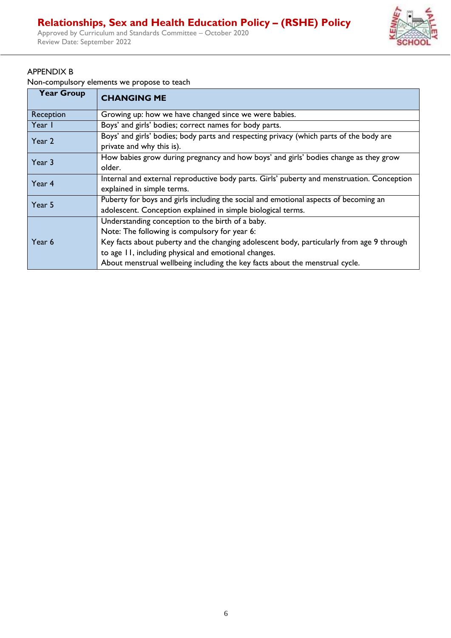Approved by Curriculum and Standards Committee – October 2020 Review Date: September 2022



#### APPENDIX B

Non-compulsory elements we propose to teach

| <b>Year Group</b> | <b>CHANGING ME</b>                                                                         |  |  |  |  |
|-------------------|--------------------------------------------------------------------------------------------|--|--|--|--|
| Reception         | Growing up: how we have changed since we were babies.                                      |  |  |  |  |
| Year I            | Boys' and girls' bodies; correct names for body parts.                                     |  |  |  |  |
| Year 2            | Boys' and girls' bodies; body parts and respecting privacy (which parts of the body are    |  |  |  |  |
|                   | private and why this is).                                                                  |  |  |  |  |
| Year 3            | How babies grow during pregnancy and how boys' and girls' bodies change as they grow       |  |  |  |  |
|                   | older.                                                                                     |  |  |  |  |
| Year 4            | Internal and external reproductive body parts. Girls' puberty and menstruation. Conception |  |  |  |  |
|                   | explained in simple terms.                                                                 |  |  |  |  |
| Year 5            | Puberty for boys and girls including the social and emotional aspects of becoming an       |  |  |  |  |
|                   | adolescent. Conception explained in simple biological terms.                               |  |  |  |  |
|                   | Understanding conception to the birth of a baby.                                           |  |  |  |  |
|                   | Note: The following is compulsory for year 6:                                              |  |  |  |  |
| Year 6            | Key facts about puberty and the changing adolescent body, particularly from age 9 through  |  |  |  |  |
|                   | to age 11, including physical and emotional changes.                                       |  |  |  |  |
|                   | About menstrual wellbeing including the key facts about the menstrual cycle.               |  |  |  |  |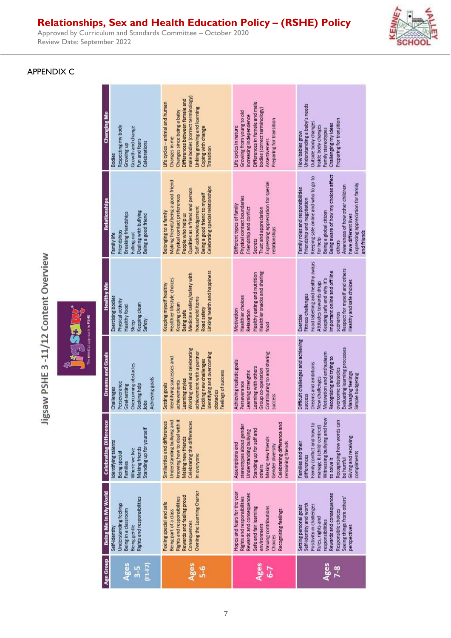Approved by Curriculum and Standards Committee – October 2020 Review Date: September 2022

#### APPENDIX C

| Changing Me                   | Respecting my body<br>Growth and change<br>Fun and fears<br>Celebrations<br>Growing up<br><b>Bodies</b>                | male bodies (correct terminology)<br>Differences between female and<br>Life cycles - animal and human<br>Linking growing and learning<br>Changes since being a baby<br>Coping with change<br>Changes in me<br>Transition                            | Differences in female and male<br>bodies (correct terminology)<br>Growing from young to old<br>Increasing independence<br>Preparing for transition<br>Life cycles in nature<br>Assertiveness             | Understanding a baby's needs<br>Preparing for transition<br>Outside body changes<br>Challenging my ideas<br>Inside body changes<br>Family stereotypes<br>How babies grow                                                                                                                                        |
|-------------------------------|------------------------------------------------------------------------------------------------------------------------|-----------------------------------------------------------------------------------------------------------------------------------------------------------------------------------------------------------------------------------------------------|----------------------------------------------------------------------------------------------------------------------------------------------------------------------------------------------------------|-----------------------------------------------------------------------------------------------------------------------------------------------------------------------------------------------------------------------------------------------------------------------------------------------------------------|
| <b>Relationships</b>          | Dealing with bullying<br>Breaking friendships<br>Being a good friend<br>Friendships<br>Falling out<br>Family life      | Making friends/being a good friend<br>Celebrating special relationships<br>Qualities as a friend and person<br>Being a good friend to myself<br>Physical contact preferences<br>Self-acknowledgement<br>Belonging to a family<br>People who help us | Expressing appreciation for special<br>Physical contact boundaries<br>Different types of family<br>Friendship and conflict<br><b>Trust and appreciation</b><br>relationships<br>Secrets                  | Being aware of how my choices affect<br>Keeping safe online and who to go to<br>Expressing appreciation for family<br>Awareness of how other children<br>Family roles and responsibilities<br>Friendship and negotiation<br>Being a global citizen<br>have different lives<br>and friends<br>for help<br>others |
| <b>Healthy Me</b>             | Exercising bodies<br>Physical activity<br>Keeping clean<br><b>Healthy food</b><br>Safety<br>Sleep                      | Linking health and happiness<br>Medicine safety/safety with<br>Healthier lifestyle choices<br>Keeping myself healthy<br>household items<br>Keeping clean<br>Road safety<br>Being safe                                                               | Healthier snacks and sharing<br>Healthy eating and nutrition<br>Healthier choices<br>Motivation<br>Relaxation<br>food                                                                                    | Food labelling and healthy swaps<br>Respect for myself and others<br>important online and off line<br>Keeping safe and why it's<br>Healthy and safe choices<br>Attitudes towards drugs<br>Fitness challenges<br>scenarios<br>Exercise                                                                           |
| <b>Dreams and Goals</b>       | Overcoming obstacles<br>Achieving goals<br>Perseverance<br>Seeking help<br>Goal-setting<br>Challenges<br>Jobs          | Working well and celebrating<br>achievement with a partner<br>Identifying and overcoming<br>Identifying successes and<br>Tackling new challenges<br>Feelings of success<br>Learning styles<br>achievements<br>Setting goals<br>obstacles            | Contributing to and sharing<br>Achieving realistic goals<br>Learning with others<br>Group co-operation<br>Learning strengths<br>Perseverance<br>success                                                  | Difficult challenges and achieving<br>Evaluating learning processes<br>Motivation and enthusiasm<br>Recognising and trying to<br><b>Dreams</b> and ambitions<br>overcome obstacles<br><b>Managing feelings</b><br>Simple budgeting<br>New challenges<br><b>SUCCESS</b>                                          |
| <b>Celebrating Difference</b> | Standing up for yourself<br>Identifying talents<br><b>Making friends</b><br>Where we live<br>Being special<br>Families | Understanding bullying and<br>knowing how to deal with it<br>Celebrating the differences<br>Similarities and differences<br>Making new friends<br>in everyone                                                                                       | Celebrating difference and<br>stereotypes about gender<br>Standing up for self and<br>Understanding bullying<br>Making new friends<br>remaining friends<br>Assumptions and<br>Gender diversity<br>others | Recognising how words can<br>Witnessing bullying and how<br>Family conflict and how to<br>manage it (child-centred)<br>Giving and receiving<br>Families and their<br>compliments<br>differences<br>to solve it<br>be hurtful                                                                                    |
| Being Me In My World          | Rights and responsibilities<br>Understanding feelings<br>Being in a classroom<br>Being gentle<br>Self-identity         | Owning the Learning Charter<br>Rewards and feeling proud<br><b>Rights and responsibilities</b><br>Feeling special and safe<br>Being part of a class<br>Consequences                                                                                 | Hopes and fears for the year<br>Rewards and consequences<br><b>Rights and responsibilities</b><br>Valuing contributions<br>Safe and fair learning<br>Recognising feelings<br>environment<br>Choices      | Rewards and consequences<br>Seeing things from others'<br>Self-identity and worth<br>Positivity in challenges<br>Setting personal goals<br>Responsible choices<br>Rules, rights and<br>responsibilities<br>perspectives                                                                                         |
| Age Group                     | Ages<br>$[1+2]$<br>$3-5$                                                                                               | Ages<br>$5-6$                                                                                                                                                                                                                                       | Ages<br>$6-7$                                                                                                                                                                                            | Ages<br>$7-8$                                                                                                                                                                                                                                                                                                   |

Jigsaw PSHE 3 -11/12 Content Overview

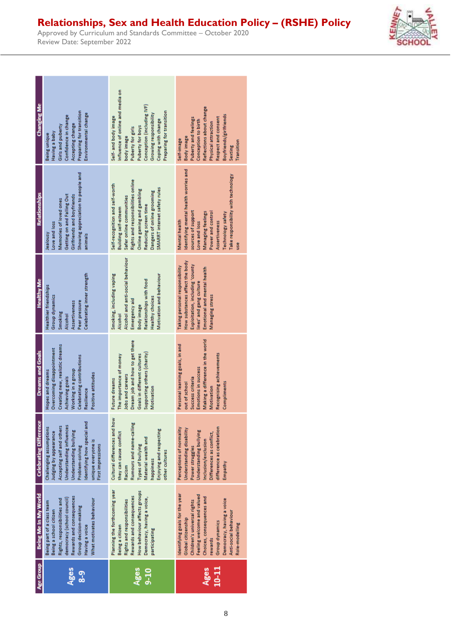| Changing Me<br>Preparing for transition<br>Environmental change<br>Confidence in change<br>Accepting change<br>Girls and puberty<br>Having a baby<br>Being unique                                                                                                        | Influence of online and media on<br>Conception (including IVF)<br>Preparing for transition<br>Growing responsibility<br>Self- and body image<br>Coping with change<br>Puberty for boys<br>Puberty for girls<br>body image                            | Reflections about change<br>Boyfriends/girlfriends<br>Respect and consent<br>Puberty and feelings<br>Conception to birth<br>Physical attraction<br><b>Body</b> image<br>Self-image<br>Transition<br>Sexting                                                |
|--------------------------------------------------------------------------------------------------------------------------------------------------------------------------------------------------------------------------------------------------------------------------|------------------------------------------------------------------------------------------------------------------------------------------------------------------------------------------------------------------------------------------------------|------------------------------------------------------------------------------------------------------------------------------------------------------------------------------------------------------------------------------------------------------------|
| Showing appreciation to people and<br>Relationships<br>Getting on and Falling Out<br>Girlfriends and boyfriends<br>Memories of loved ones<br>Love and loss<br>Vsnojear<br>animals                                                                                        | Rights and responsibilities online<br>Self-recognition and self-worth<br>SMARRT internet safety rules<br>Online gaming and gambling<br>Dangers of online grooming<br>Safer online communities<br>Reducing screen time<br><b>Building self-esteem</b> | Identifying mental health worries and<br>Take responsibility with technology<br>sources of support<br>Managing feelings<br>Power and control<br>Technology safety<br>Mental health<br>Assertiveness<br>Love and loss<br>use                                |
| Celebrating inner strength<br><b>Healthy Me</b><br><b>Healthier friendships</b><br><b>Group dynamics</b><br>Peer pressure<br>Assertiveness<br>Smoking<br>Alcohol                                                                                                         | Alcohol and anti-social behaviour<br>Smoking, including vaping<br>Motivation and behaviour<br>Relationships with food<br><b>Healthy choices</b><br>Emergency aid<br><b>Body</b> image<br>Alcohol                                                     | How substances affect the body<br>Exploitation, including 'county<br>Taking personal responsibility<br>Emotional and mental health<br>lines' and gang culture<br><b>Managing stress</b>                                                                    |
| Creating new, realistic dreams<br>Overcoming disappointment<br><b>Dreams and Goals</b><br><b>Celebrating contributions</b><br>Hopes and dreams<br>Working in a group<br>Positive attitudes<br>Achieving goals<br>Resilience                                              | Dream job and how to get there<br>Supporting others (charity)<br>Goals in different cultures<br>The importance of money<br>Jobs and careers<br>Future dreams<br>Motivation                                                                           | Making a difference in the world<br>Personal learning goals, in and<br>Recognising achievements<br>Emotions in success<br>Success criteria<br>out of school<br>Compliments<br>Motivation                                                                   |
| <b>Celebrating Difference</b><br>Identifying how special and<br>Understanding influences<br>Accepting self and others<br>Challenging assumptions<br>Understanding bullying<br>Judging by appearance<br>unique everyone is<br><b>First impressions</b><br>Problem-solving | Cultural differences and how<br>Rumours and name-calling<br>Enjoying and respecting<br>they can cause conflict<br>Material wealth and<br>Types of bullying<br>other cultures<br>happiness<br>Racism                                                  | difference as celebration<br>Perceptions of normality<br>Understanding disability<br>Understanding bullying<br>Differences as conflict,<br>Inclusion/exclusion<br>Power struggles<br>Empathy                                                               |
| Being Me In My World<br>Rewards and consequences<br>democracy (school council)<br>Rights, responsibilities and<br>What motivates behaviour<br>Being part of a class team<br>Group decision-making<br>Being a school citizen<br>Having a voice                            | Planning the forthcoming year<br>How behaviour affects groups<br>Rewards and consequences<br>Democracy, having a voice,<br><b>Rights and responsibilities</b><br>Being a citizen<br>participating                                                    | Identifying goals for the year<br>Feeling welcome and valued<br>Choices, consequences and<br>Democracy, having a voice<br>Children's universal rights<br>Anti-social behaviour<br>Global citizenship<br><b>Group dynamics</b><br>Role-modelling<br>rewards |
| Age Group<br>Ages<br><u>ဇ</u> ္                                                                                                                                                                                                                                          | Ages<br>$9 - 10$                                                                                                                                                                                                                                     | 10-11<br>Ages                                                                                                                                                                                                                                              |

Approved by Curriculum and Standards Committee – October 2020 Review Date: September 2022

a ka